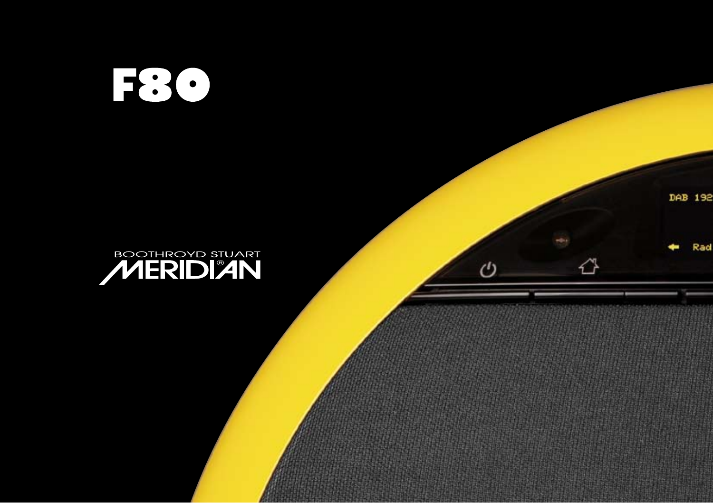$E30$ 



DAB 192

 $\curvearrowleft$ 

 $(1)$ 

Rad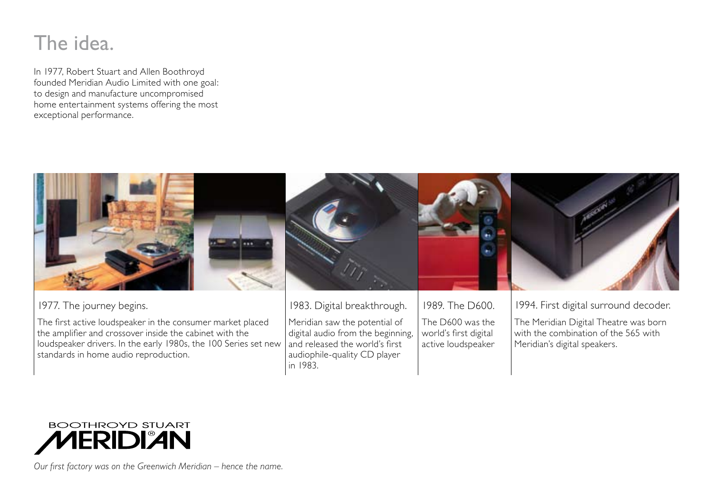# The idea.

In 1977, Robert Stuart and Allen Boothroyd founded Meridian Audio Limited with one goal: to design and manufacture uncompromised home entertainment systems offering the most exceptional performance.



1977. The journey begins.

The first active loudspeaker in the consumer market placed the amplifier and crossover inside the cabinet with the loudspeaker drivers. In the early 1980s, the 100 Series set new standards in home audio reproduction.

1983. Digital breakthrough.

Meridian saw the potential of digital audio from the beginning, and released the world's first audiophile-quality CD player in 1983.

1989. The D600.

The D600 was the world's first digital active loudspeaker 1994. First digital surround decoder.

The Meridian Digital Theatre was born with the combination of the 565 with Meridian's digital speakers.



*Our first factory was on the Greenwich Meridian – hence the name.*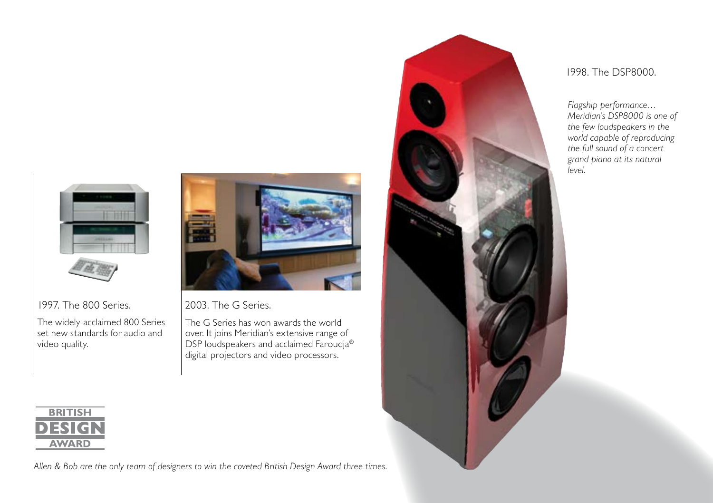



1997. The 800 Series.

The widely-acclaimed 800 Series set new standards for audio and video quality.



2003. The G Series.

The G Series has won awards the world over. It joins Meridian's extensive range of DSP loudspeakers and acclaimed Faroudja® digital projectors and video processors.



### 1998. The DSP8000.

*Flagship performance… Meridian's DSP8000 is one of the few loudspeakers in the world capable of reproducing the full sound of a concert grand piano at its natural level.*



*Allen & Bob are the only team of designers to win the coveted British Design Award three times.*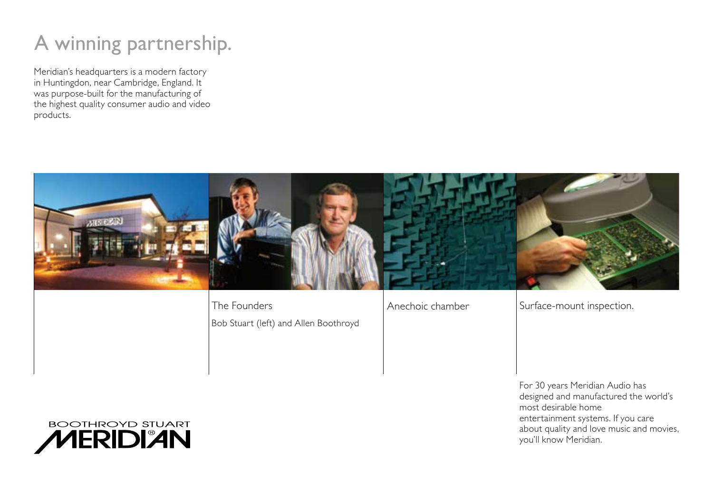# A winning partnership.

Meridian's headquarters is a modern factory in Huntingdon, near Cambridge, England. It was purpose-built for the manufacturing of the highest quality consumer audio and video products.



For 30 years Meridian Audio has designed and manufactured the world's most desirable home entertainment systems. If you care about quality and love music and movies, you'll know Meridian.

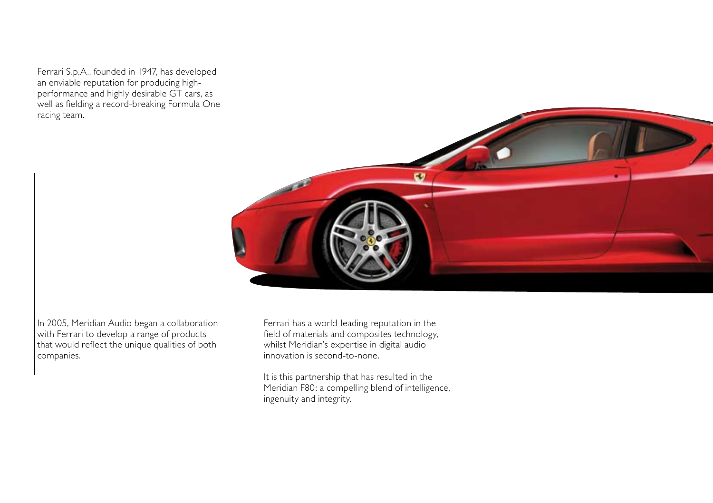Ferrari S.p.A., founded in 1947, has developed an enviable reputation for producing highperformance and highly desirable GT cars, as well as fielding a record-breaking Formula One racing team.



In 2005, Meridian Audio began a collaboration with Ferrari to develop a range of products that would reflect the unique qualities of both companies.

Ferrari has a world-leading reputation in the field of materials and composites technology, whilst Meridian's expertise in digital audio innovation is second-to-none.

It is this partnership that has resulted in the Meridian F80: a compelling blend of intelligence, ingenuity and integrity.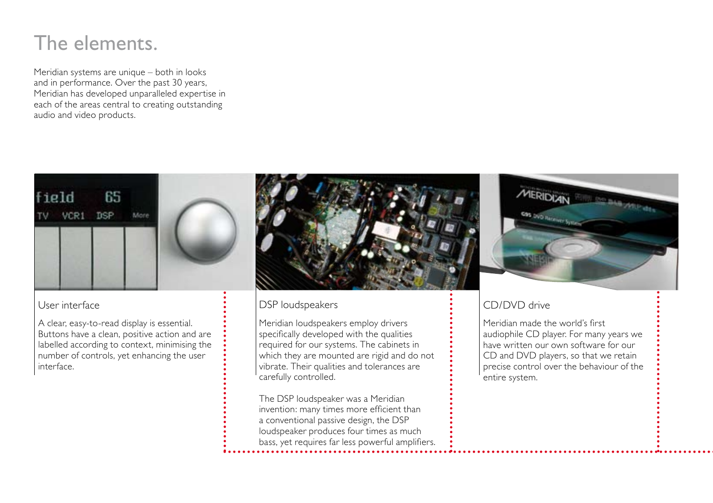### The elements.

Meridian systems are unique – both in looks and in performance. Over the past 30 years, Meridian has developed unparalleled expertise in each of the areas central to creating outstanding audio and video products.



### User interface

A clear, easy-to-read display is essential. Buttons have a clean, positive action and are labelled according to context, minimising the number of controls, yet enhancing the user interface.



### DSP loudspeakers **CD/DVD** drive

Meridian loudspeakers employ drivers specifically developed with the qualities required for our systems. The cabinets in which they are mounted are rigid and do not vibrate. Their qualities and tolerances are carefully controlled.

The DSP loudspeaker was a Meridian invention: many times more efficient than a conventional passive design, the DSP loudspeaker produces four times as much bass, yet requires far less powerful amplifiers.



Meridian made the world's first audiophile CD player. For many years we have written our own software for our CD and DVD players, so that we retain precise control over the behaviour of the entire system.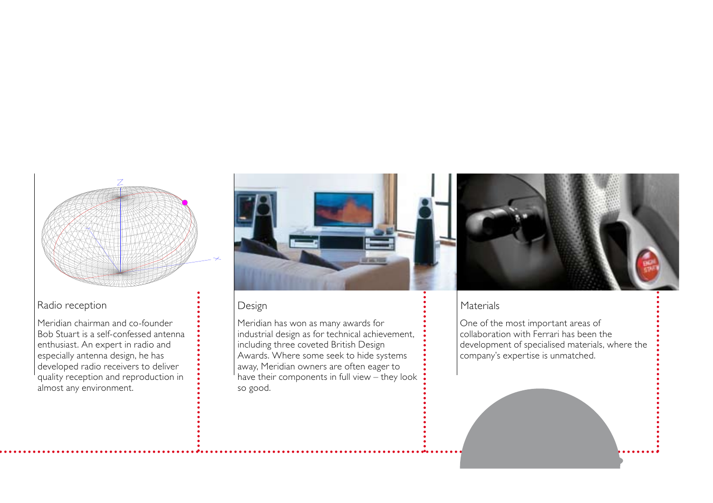

### Radio reception

Meridian chairman and co-founder Bob Stuart is a self-confessed antenna enthusiast. An expert in radio and especially antenna design, he has developed radio receivers to deliver quality reception and reproduction in almost any environment.



### Design

Meridian has won as many awards for industrial design as for technical achievement, including three coveted British Design Awards. Where some seek to hide systems away, Meridian owners are often eager to have their components in full view – they look so good.



#### **Materials**

One of the most important areas of collaboration with Ferrari has been the development of specialised materials, where the company's expertise is unmatched.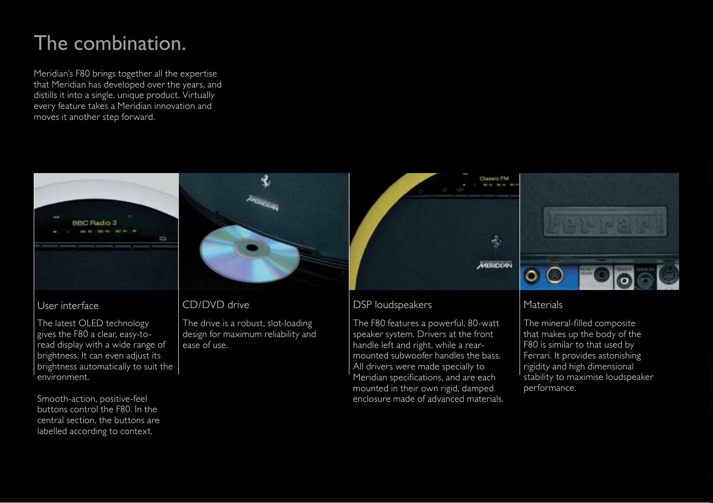### The combination.

Meridian's F80 brings together all the expertise that Meridian has developed over the years, and distills it into a single, unique product. Virtually every feature takes a Meridian innovation and moves it another step forward.



### User interface

The latest OLED technology gives the F80 a clear, easy-toread display with a wide range of brightness. It can even adjust its brightness automatically to suit the environment.

Smooth-action, positive-feel buttons control the F80. In the central section, the buttons are labelled according to context.



CD/DVD drive

The drive is a robust, slot-loading design for maximum reliability and ease of use.



#### DSP loudspeakers

The F80 features a powerful, 80-watt speaker system. Drivers at the front handle left and right, while a rearmounted subwoofer handles the bass. All drivers were made specially to Meridian specifications, and are each mounted in their own rigid, damped enclosure made of advanced materials.



#### **Materials**

The mineral-filled composite that makes up the body of the F80 is similar to that used by Ferrari. It provides astonishing rigidity and high dimensional stability to maximise loudspeaker performance.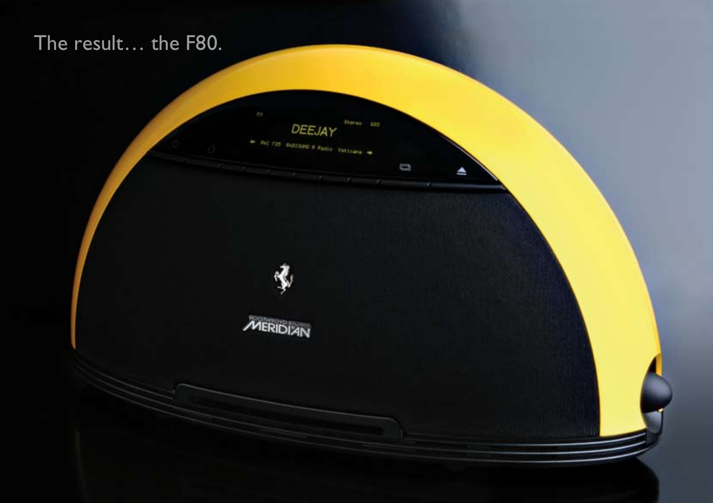# The result... the F80.

DEEJAY - Aut ras Audiorio e Padro Vaticana -

Ü

€



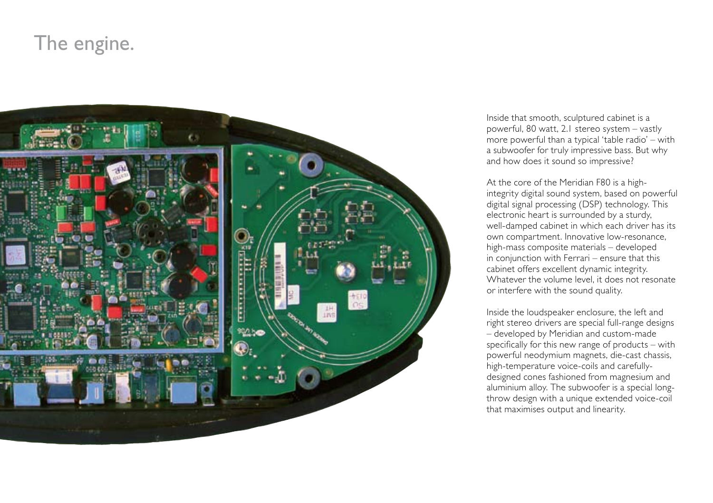### The engine.



Inside that smooth, sculptured cabinet is a powerful, 80 watt, 2.1 stereo system – vastly more powerful than a typical 'table radio' – with a subwoofer for truly impressive bass. But why and how does it sound so impressive?

At the core of the Meridian F80 is a highintegrity digital sound system, based on powerful digital signal processing (DSP) technology. This electronic heart is surrounded by a sturdy, well-damped cabinet in which each driver has its own compartment. Innovative low-resonance, high-mass composite materials – developed in conjunction with Ferrari – ensure that this cabinet offers excellent dynamic integrity. Whatever the volume level, it does not resonate or interfere with the sound quality.

Inside the loudspeaker enclosure, the left and right stereo drivers are special full-range designs – developed by Meridian and custom-made specifically for this new range of products – with powerful neodymium magnets, die-cast chassis, high-temperature voice-coils and carefullydesigned cones fashioned from magnesium and aluminium alloy. The subwoofer is a special longthrow design with a unique extended voice-coil that maximises output and linearity.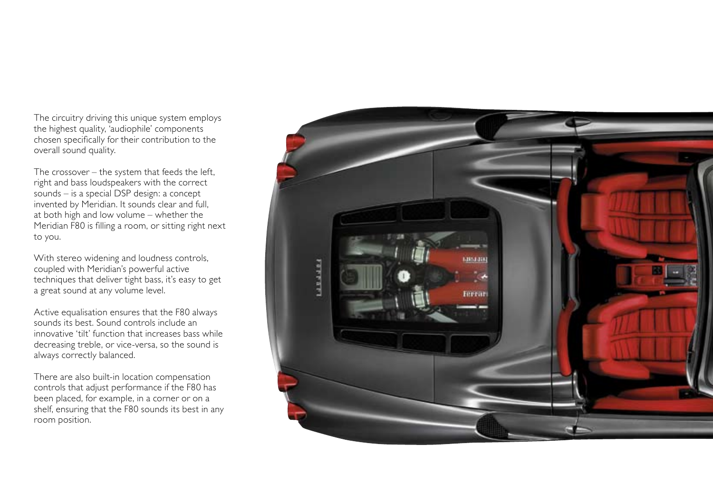The circuitry driving this unique system employs the highest quality, 'audiophile' components chosen specifically for their contribution to the overall sound quality.

The crossover – the system that feeds the left, right and bass loudspeakers with the correct sounds – is a special DSP design: a concept invented by Meridian. It sounds clear and full, at both high and low volume – whether the Meridian F80 is filling a room, or sitting right next to you.

With stereo widening and loudness controls, coupled with Meridian's powerful active techniques that deliver tight bass, it's easy to get a great sound at any volume level.

Active equalisation ensures that the F80 always sounds its best. Sound controls include an innovative 'tilt' function that increases bass while decreasing treble, or vice-versa, so the sound is always correctly balanced.

There are also built-in location compensation controls that adjust performance if the F80 has been placed, for example, in a corner or on a shelf, ensuring that the F80 sounds its best in any room position.

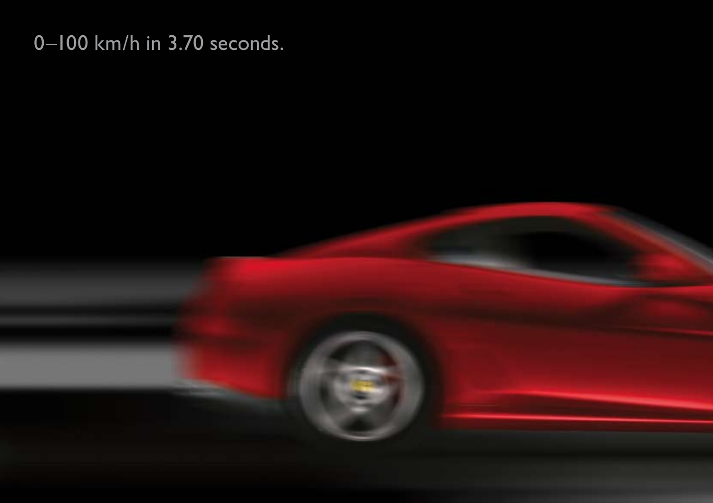# 0–100 km/h in 3.70 seconds.

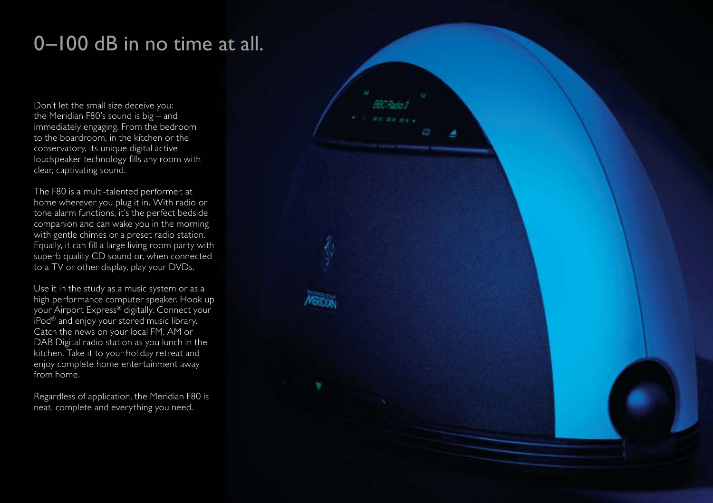# 0–100 dB in no time at all.

Don't let the small size deceive you: the Meridian F80's sound is big – and immediately engaging. From the bedroom to the boardroom, in the kitchen or the conservatory, its unique digital active loudspeaker technology fills any room with clear, captivating sound.

The F80 is a multi-talented performer, at home wherever you plug it in. With radio or tone alarm functions, it's the perfect bedside companion and can wake you in the morning with gentle chimes or a preset radio station. Equally, it can fill a large living room party with superb quality CD sound or, when connected to a TV or other display, play your DVDs.

Use it in the study as a music system or as a high performance computer speaker. Hook up your Airport Express® digitally. Connect your iPod® and enjoy your stored music library. Catch the news on your local FM, AM or DAB Digital radio station as you lunch in the kitchen. Take it to your holiday retreat and enjoy complete home entertainment away from home.

Regardless of application, the Meridian F80 is neat, complete and everything you need.

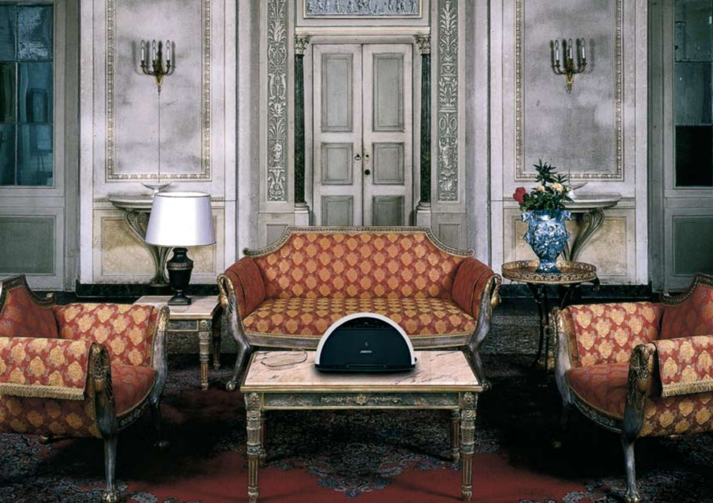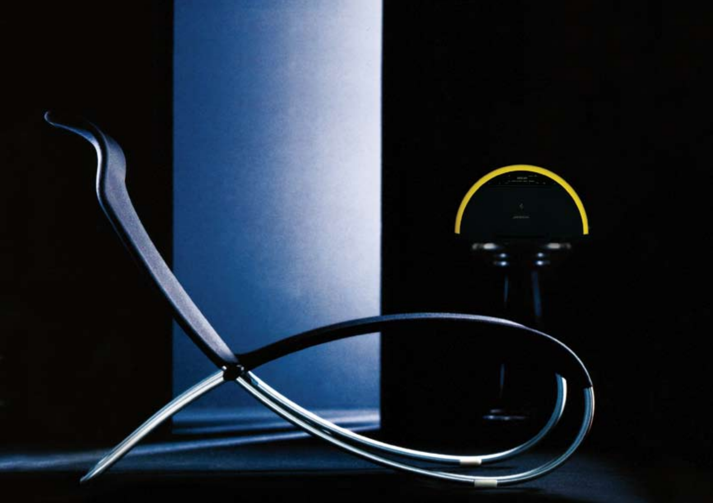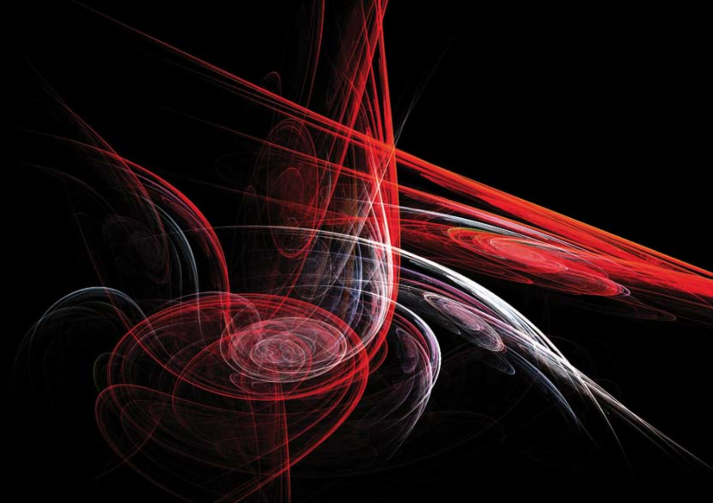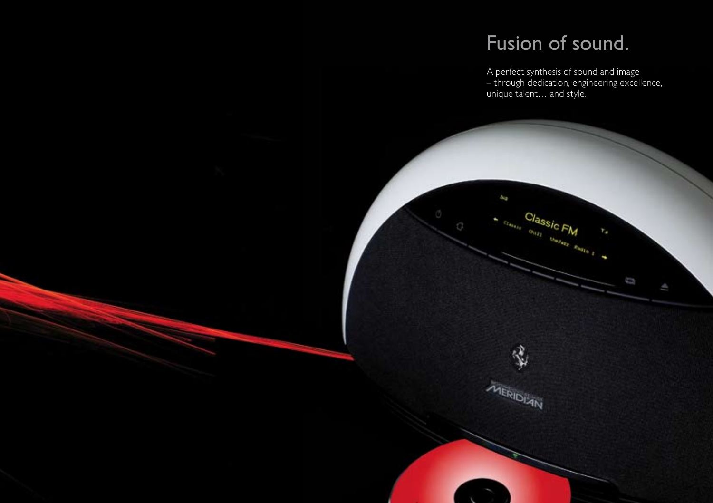### Fusion of sound.

 $C_{\hat{a}s_{\hat{S}j_{\text{C}}}}F_{\hat{M}}$  $\begin{picture}(120,110) \put(0,0){\vector(1,0){30}} \put(15,0){\vector(1,0){30}} \put(15,0){\vector(1,0){30}} \put(15,0){\vector(1,0){30}} \put(15,0){\vector(1,0){30}} \put(15,0){\vector(1,0){30}} \put(15,0){\vector(1,0){30}} \put(15,0){\vector(1,0){30}} \put(15,0){\vector(1,0){30}} \put(15,0){\vector(1,0){30}} \put(15,0){\vector(1,0){30}} \put(15,0){\vector$ 

à,

爆

MERIDIAN

A perfect synthesis of sound and image – through dedication, engineering excellence, unique talent… and style.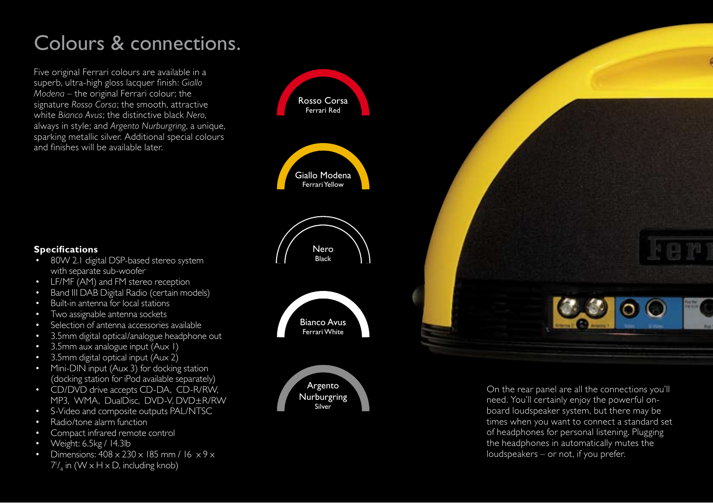# Colours & connections.

Five original Ferrari colours are available in a superb, ultra-high gloss lacquer finish: *Giallo Modena* – the original Ferrari colour; the signature *Rosso Corsa*; the smooth, attractive white *Bianco Avus*; the distinctive black *Nero*, always in style; and *Argento Nurburgring*, a unique, sparking metallic silver. Additional special colours and finishes will be available later.

#### **Specifications**

- 80W 2.1 digital DSP-based stereo system with separate sub-woofer
- LF/MF (AM) and FM stereo reception
- • Band III DAB Digital Radio (certain models)
- Built-in antenna for local stations
- Two assignable antenna sockets
- Selection of antenna accessories available
- 3.5mm digital optical/analogue headphone out
- 3.5mm aux analogue input (Aux 1)
- 3.5mm digital optical input (Aux 2)
- Mini-DIN input (Aux 3) for docking station (docking station for iPod available separately)
- • CD/DVD drive accepts CD-DA, CD-R/RW, MP3, WMA, DualDisc, DVD-V, DVD±R/RW
- • S-Video and composite outputs PAL/NTSC
- • Radio/tone alarm function
- • Compact infrared remote control
- • Weight: 6.5kg / 14.3lb
- Dimensions:  $\frac{408 \times 230 \times 185 \text{ mm}}{16 \times 9 \times 185}$  $7\frac{1}{4}$  in  $(W \times H \times D$ , including knob)



On the rear panel are all the connections you'll need. You'll certainly enjoy the powerful onboard loudspeaker system, but there may be times when you want to connect a standard set of headphones for personal listening. Plugging the headphones in automatically mutes the loudspeakers – or not, if you prefer.



Bianco Avus Ferrari White

Rosso Corsa Ferrari Red

Giallo Modena Ferrari Yellow

> Nero Black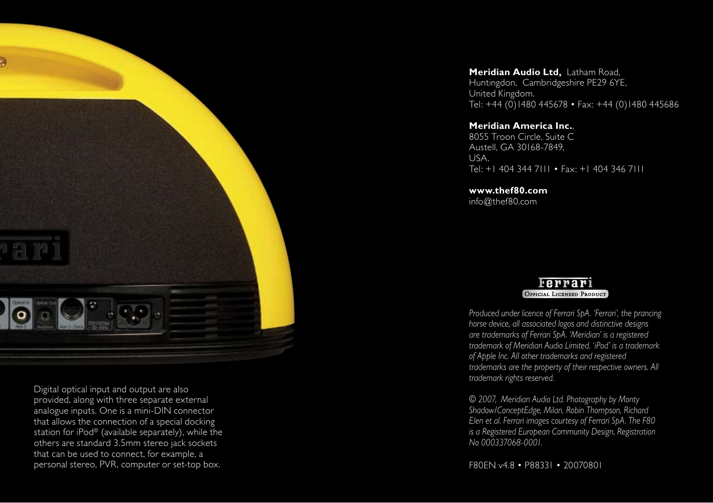

Digital optical input and output are also provided, along with three separate external analogue inputs. One is a mini-DIN connector that allows the connection of a special docking station for iPod® (available separately), while the others are standard 3.5mm stereo jack sockets that can be used to connect, for example, a personal stereo, PVR, computer or set-top box. Figure 1.1 and the set of the set of the set of the set of the set of the set of the set of the set of the set of the set of the set of the set of the set of the set of the se

**Meridian Audio Ltd.** Latham Road. Huntingdon, Cambridgeshire PE29 6YE, United Kingdom. Tel: +44 (0)1480 445678 • Fax: +44 (0)1480 445686

#### **Meridian America Inc.**,

8055 Troon Circle, Suite C Austell, GA 30168-7849, USA. Tel: +1 404 344 7111 • Fax: +1 404 346 7111

#### **www.thef80.com**

info@thef80.com

#### Ferrari OFFICIAL LICENSED PRODUCT

*Produced under licence of Ferrari SpA. 'Ferrari', the prancing horse device, all associated logos and distinctive designs are trademarks of Ferrari SpA. 'Meridian' is a registered trademark of Meridian Audio Limited. 'iPod' is a trademark of Apple Inc. All other trademarks and registered trademarks are the property of their respective owners. All trademark rights reserved.* 

*© 2007, Meridian Audio Ltd. Photography by Monty Shadow/ConceptEdge, Milan, Robin Thompson, Richard Elen et al. Ferrari images courtesy of Ferrari SpA. The F80 is a Registered European Community Design, Registration No 000337068-0001.*